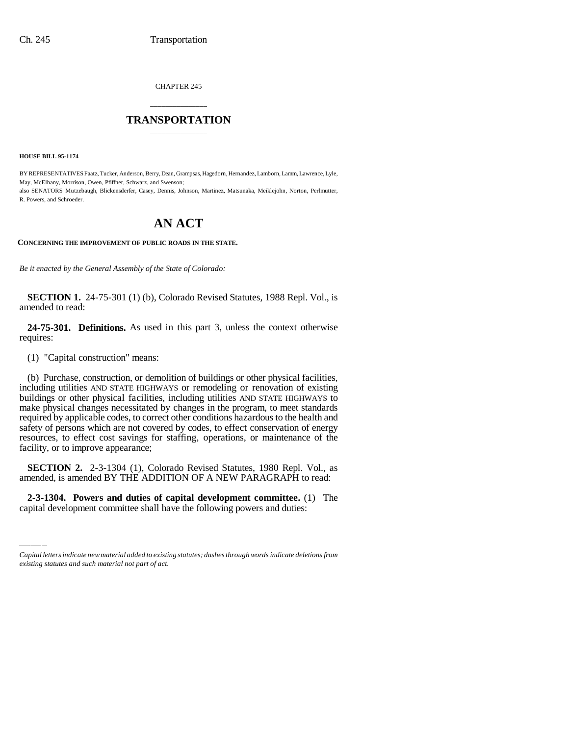CHAPTER 245

## \_\_\_\_\_\_\_\_\_\_\_\_\_\_\_ **TRANSPORTATION** \_\_\_\_\_\_\_\_\_\_\_\_\_\_\_

**HOUSE BILL 95-1174**

BY REPRESENTATIVES Faatz, Tucker, Anderson, Berry, Dean, Grampsas, Hagedorn, Hernandez, Lamborn, Lamm, Lawrence, Lyle, May, McElhany, Morrison, Owen, Pfiffner, Schwarz, and Swenson; also SENATORS Mutzebaugh, Blickensderfer, Casey, Dennis, Johnson, Martinez, Matsunaka, Meiklejohn, Norton, Perlmutter, R. Powers, and Schroeder.

## **AN ACT**

**CONCERNING THE IMPROVEMENT OF PUBLIC ROADS IN THE STATE.**

*Be it enacted by the General Assembly of the State of Colorado:*

**SECTION 1.** 24-75-301 (1) (b), Colorado Revised Statutes, 1988 Repl. Vol., is amended to read:

**24-75-301. Definitions.** As used in this part 3, unless the context otherwise requires:

(1) "Capital construction" means:

(b) Purchase, construction, or demolition of buildings or other physical facilities, including utilities AND STATE HIGHWAYS or remodeling or renovation of existing buildings or other physical facilities, including utilities AND STATE HIGHWAYS to make physical changes necessitated by changes in the program, to meet standards required by applicable codes, to correct other conditions hazardous to the health and safety of persons which are not covered by codes, to effect conservation of energy resources, to effect cost savings for staffing, operations, or maintenance of the facility, or to improve appearance;

amended, is amended BY THE ADDITION OF A NEW PARAGRAPH to read: **SECTION 2.** 2-3-1304 (1), Colorado Revised Statutes, 1980 Repl. Vol., as

**2-3-1304. Powers and duties of capital development committee.** (1) The capital development committee shall have the following powers and duties:

*Capital letters indicate new material added to existing statutes; dashes through words indicate deletions from existing statutes and such material not part of act.*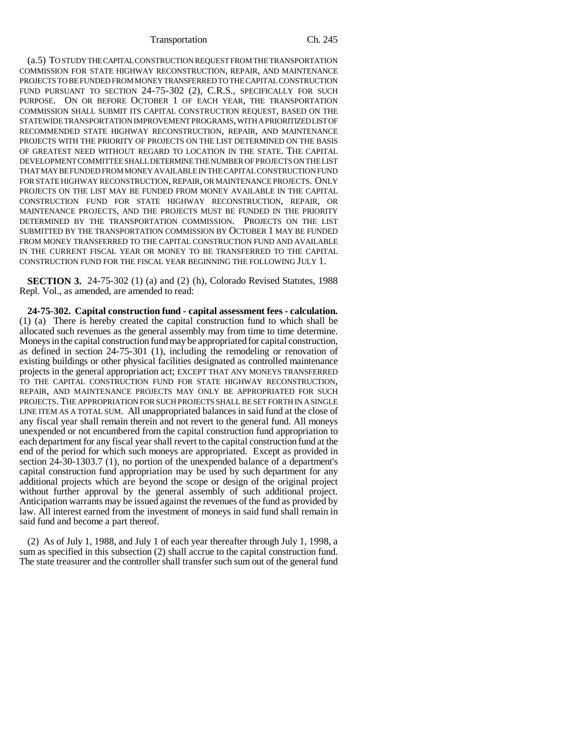## Transportation Ch. 245

(a.5) TO STUDY THE CAPITAL CONSTRUCTION REQUEST FROM THE TRANSPORTATION COMMISSION FOR STATE HIGHWAY RECONSTRUCTION, REPAIR, AND MAINTENANCE PROJECTS TO BE FUNDED FROM MONEY TRANSFERRED TO THE CAPITAL CONSTRUCTION FUND PURSUANT TO SECTION 24-75-302 (2), C.R.S., SPECIFICALLY FOR SUCH PURPOSE. ON OR BEFORE OCTOBER 1 OF EACH YEAR, THE TRANSPORTATION COMMISSION SHALL SUBMIT ITS CAPITAL CONSTRUCTION REQUEST, BASED ON THE STATEWIDE TRANSPORTATION IMPROVEMENT PROGRAMS, WITH A PRIORITIZED LIST OF RECOMMENDED STATE HIGHWAY RECONSTRUCTION, REPAIR, AND MAINTENANCE PROJECTS WITH THE PRIORITY OF PROJECTS ON THE LIST DETERMINED ON THE BASIS OF GREATEST NEED WITHOUT REGARD TO LOCATION IN THE STATE. THE CAPITAL DEVELOPMENT COMMITTEE SHALL DETERMINE THE NUMBER OF PROJECTS ON THE LIST THAT MAY BE FUNDED FROM MONEY AVAILABLE IN THE CAPITAL CONSTRUCTION FUND FOR STATE HIGHWAY RECONSTRUCTION, REPAIR, OR MAINTENANCE PROJECTS. ONLY PROJECTS ON THE LIST MAY BE FUNDED FROM MONEY AVAILABLE IN THE CAPITAL CONSTRUCTION FUND FOR STATE HIGHWAY RECONSTRUCTION, REPAIR, OR MAINTENANCE PROJECTS, AND THE PROJECTS MUST BE FUNDED IN THE PRIORITY DETERMINED BY THE TRANSPORTATION COMMISSION. PROJECTS ON THE LIST SUBMITTED BY THE TRANSPORTATION COMMISSION BY OCTOBER 1 MAY BE FUNDED FROM MONEY TRANSFERRED TO THE CAPITAL CONSTRUCTION FUND AND AVAILABLE IN THE CURRENT FISCAL YEAR OR MONEY TO BE TRANSFERRED TO THE CAPITAL CONSTRUCTION FUND FOR THE FISCAL YEAR BEGINNING THE FOLLOWING JULY 1.

**SECTION 3.** 24-75-302 (1) (a) and (2) (h), Colorado Revised Statutes, 1988 Repl. Vol., as amended, are amended to read:

**24-75-302. Capital construction fund - capital assessment fees - calculation.** (1) (a) There is hereby created the capital construction fund to which shall be allocated such revenues as the general assembly may from time to time determine. Moneys in the capital construction fund may be appropriated for capital construction, as defined in section 24-75-301 (1), including the remodeling or renovation of existing buildings or other physical facilities designated as controlled maintenance projects in the general appropriation act; EXCEPT THAT ANY MONEYS TRANSFERRED TO THE CAPITAL CONSTRUCTION FUND FOR STATE HIGHWAY RECONSTRUCTION, REPAIR, AND MAINTENANCE PROJECTS MAY ONLY BE APPROPRIATED FOR SUCH PROJECTS. THE APPROPRIATION FOR SUCH PROJECTS SHALL BE SET FORTH IN A SINGLE LINE ITEM AS A TOTAL SUM. All unappropriated balances in said fund at the close of any fiscal year shall remain therein and not revert to the general fund. All moneys unexpended or not encumbered from the capital construction fund appropriation to each department for any fiscal year shall revert to the capital construction fund at the end of the period for which such moneys are appropriated. Except as provided in section 24-30-1303.7 (1), no portion of the unexpended balance of a department's capital construction fund appropriation may be used by such department for any additional projects which are beyond the scope or design of the original project without further approval by the general assembly of such additional project. Anticipation warrants may be issued against the revenues of the fund as provided by law. All interest earned from the investment of moneys in said fund shall remain in said fund and become a part thereof.

(2) As of July 1, 1988, and July 1 of each year thereafter through July 1, 1998, a sum as specified in this subsection (2) shall accrue to the capital construction fund. The state treasurer and the controller shall transfer such sum out of the general fund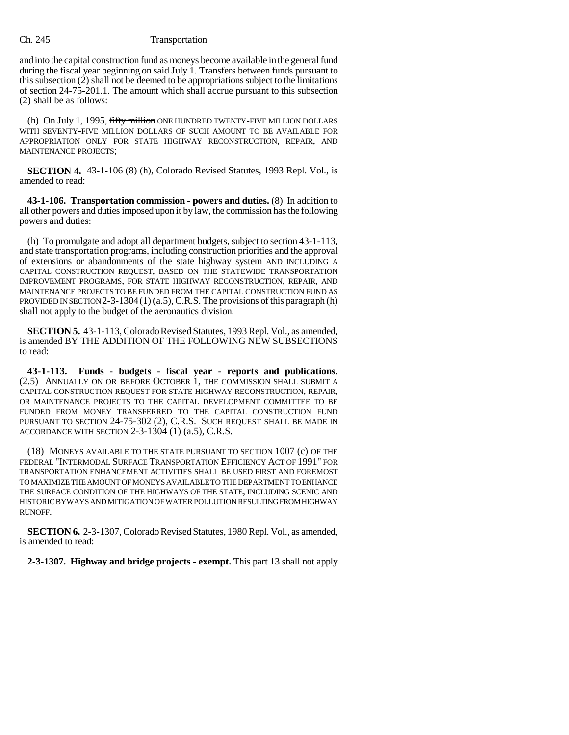## Ch. 245 Transportation

and into the capital construction fund as moneys become available in the general fund during the fiscal year beginning on said July 1. Transfers between funds pursuant to this subsection (2) shall not be deemed to be appropriations subject to the limitations of section 24-75-201.1. The amount which shall accrue pursuant to this subsection (2) shall be as follows:

(h) On July 1, 1995, fifty million ONE HUNDRED TWENTY-FIVE MILLION DOLLARS WITH SEVENTY-FIVE MILLION DOLLARS OF SUCH AMOUNT TO BE AVAILABLE FOR APPROPRIATION ONLY FOR STATE HIGHWAY RECONSTRUCTION, REPAIR, AND MAINTENANCE PROJECTS;

**SECTION 4.** 43-1-106 (8) (h), Colorado Revised Statutes, 1993 Repl. Vol., is amended to read:

**43-1-106. Transportation commission - powers and duties.** (8) In addition to all other powers and duties imposed upon it by law, the commission has the following powers and duties:

(h) To promulgate and adopt all department budgets, subject to section 43-1-113, and state transportation programs, including construction priorities and the approval of extensions or abandonments of the state highway system AND INCLUDING A CAPITAL CONSTRUCTION REQUEST, BASED ON THE STATEWIDE TRANSPORTATION IMPROVEMENT PROGRAMS, FOR STATE HIGHWAY RECONSTRUCTION, REPAIR, AND MAINTENANCE PROJECTS TO BE FUNDED FROM THE CAPITAL CONSTRUCTION FUND AS PROVIDED IN SECTION 2-3-1304(1) (a.5), C.R.S. The provisions of this paragraph (h) shall not apply to the budget of the aeronautics division.

**SECTION 5.** 43-1-113, Colorado Revised Statutes, 1993 Repl. Vol., as amended, is amended BY THE ADDITION OF THE FOLLOWING NEW SUBSECTIONS to read:

**43-1-113. Funds - budgets - fiscal year - reports and publications.** (2.5) ANNUALLY ON OR BEFORE OCTOBER 1, THE COMMISSION SHALL SUBMIT A CAPITAL CONSTRUCTION REQUEST FOR STATE HIGHWAY RECONSTRUCTION, REPAIR, OR MAINTENANCE PROJECTS TO THE CAPITAL DEVELOPMENT COMMITTEE TO BE FUNDED FROM MONEY TRANSFERRED TO THE CAPITAL CONSTRUCTION FUND PURSUANT TO SECTION 24-75-302 (2), C.R.S. SUCH REQUEST SHALL BE MADE IN ACCORDANCE WITH SECTION 2-3-1304 (1) (a.5), C.R.S.

(18) MONEYS AVAILABLE TO THE STATE PURSUANT TO SECTION 1007 (c) OF THE FEDERAL "INTERMODAL SURFACE TRANSPORTATION EFFICIENCY ACT OF 1991" FOR TRANSPORTATION ENHANCEMENT ACTIVITIES SHALL BE USED FIRST AND FOREMOST TO MAXIMIZE THE AMOUNT OF MONEYS AVAILABLE TO THE DEPARTMENT TO ENHANCE THE SURFACE CONDITION OF THE HIGHWAYS OF THE STATE, INCLUDING SCENIC AND HISTORIC BYWAYS AND MITIGATION OF WATER POLLUTION RESULTING FROM HIGHWAY RUNOFF.

**SECTION 6.** 2-3-1307, Colorado Revised Statutes, 1980 Repl. Vol., as amended, is amended to read:

**2-3-1307. Highway and bridge projects - exempt.** This part 13 shall not apply